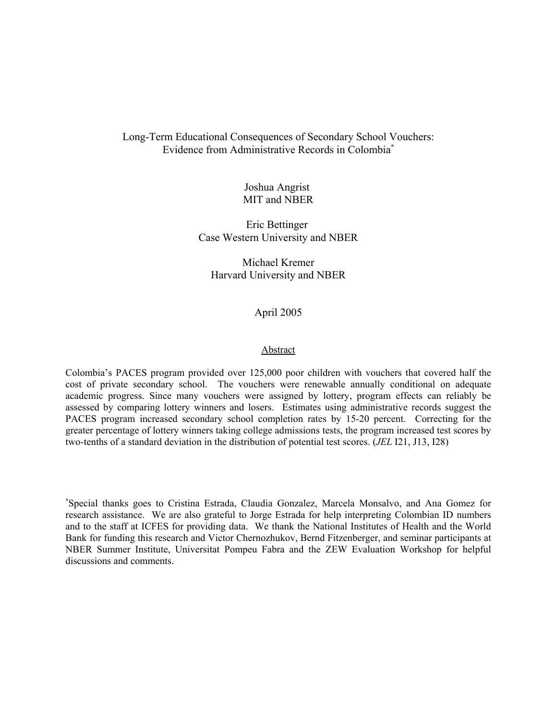# Long-Term Educational Consequences of Secondary School Vouchers: Evidence from Administrative Records in Colombia\*

Joshua Angrist MIT and NBER

Eric Bettinger Case Western University and NBER

Michael Kremer Harvard University and NBER

## April 2005

#### Abstract

Colombia's PACES program provided over 125,000 poor children with vouchers that covered half the cost of private secondary school. The vouchers were renewable annually conditional on adequate academic progress. Since many vouchers were assigned by lottery, program effects can reliably be assessed by comparing lottery winners and losers. Estimates using administrative records suggest the PACES program increased secondary school completion rates by 15-20 percent. Correcting for the greater percentage of lottery winners taking college admissions tests, the program increased test scores by two-tenths of a standard deviation in the distribution of potential test scores. (*JEL* I21, J13, I28)

\* Special thanks goes to Cristina Estrada, Claudia Gonzalez, Marcela Monsalvo, and Ana Gomez for research assistance. We are also grateful to Jorge Estrada for help interpreting Colombian ID numbers and to the staff at ICFES for providing data. We thank the National Institutes of Health and the World Bank for funding this research and Victor Chernozhukov, Bernd Fitzenberger, and seminar participants at NBER Summer Institute, Universitat Pompeu Fabra and the ZEW Evaluation Workshop for helpful discussions and comments.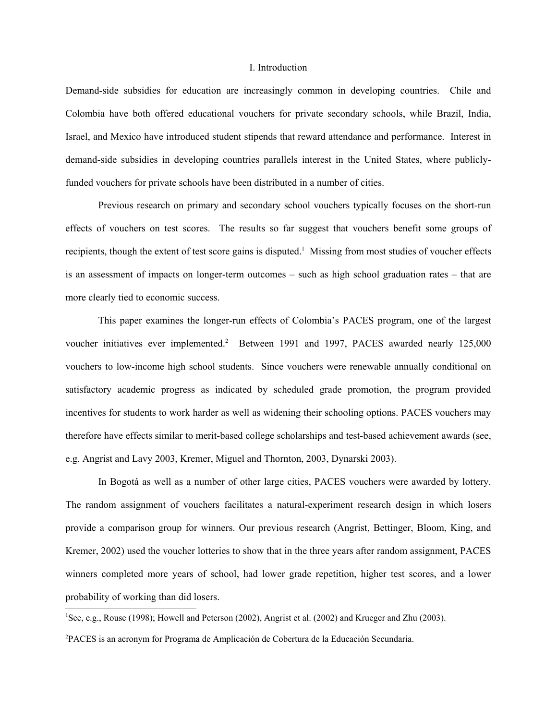#### I. Introduction

Demand-side subsidies for education are increasingly common in developing countries. Chile and Colombia have both offered educational vouchers for private secondary schools, while Brazil, India, Israel, and Mexico have introduced student stipends that reward attendance and performance. Interest in demand-side subsidies in developing countries parallels interest in the United States, where publiclyfunded vouchers for private schools have been distributed in a number of cities.

Previous research on primary and secondary school vouchers typically focuses on the short-run effects of vouchers on test scores. The results so far suggest that vouchers benefit some groups of recipients, though the extent of test score gains is disputed.<sup>1</sup> Missing from most studies of voucher effects is an assessment of impacts on longer-term outcomes – such as high school graduation rates – that are more clearly tied to economic success.

This paper examines the longer-run effects of Colombia's PACES program, one of the largest voucher initiatives ever implemented.<sup>2</sup> Between 1991 and 1997, PACES awarded nearly 125,000 vouchers to low-income high school students. Since vouchers were renewable annually conditional on satisfactory academic progress as indicated by scheduled grade promotion, the program provided incentives for students to work harder as well as widening their schooling options. PACES vouchers may therefore have effects similar to merit-based college scholarships and test-based achievement awards (see, e.g. Angrist and Lavy 2003, Kremer, Miguel and Thornton, 2003, Dynarski 2003).

In Bogotá as well as a number of other large cities, PACES vouchers were awarded by lottery. The random assignment of vouchers facilitates a natural-experiment research design in which losers provide a comparison group for winners. Our previous research (Angrist, Bettinger, Bloom, King, and Kremer, 2002) used the voucher lotteries to show that in the three years after random assignment, PACES winners completed more years of school, had lower grade repetition, higher test scores, and a lower probability of working than did losers.

<sup>1</sup>See, e.g., Rouse (1998); Howell and Peterson (2002), Angrist et al. (2002) and Krueger and Zhu (2003).

2 PACES is an acronym for Programa de Amplicación de Cobertura de la Educación Secundaria.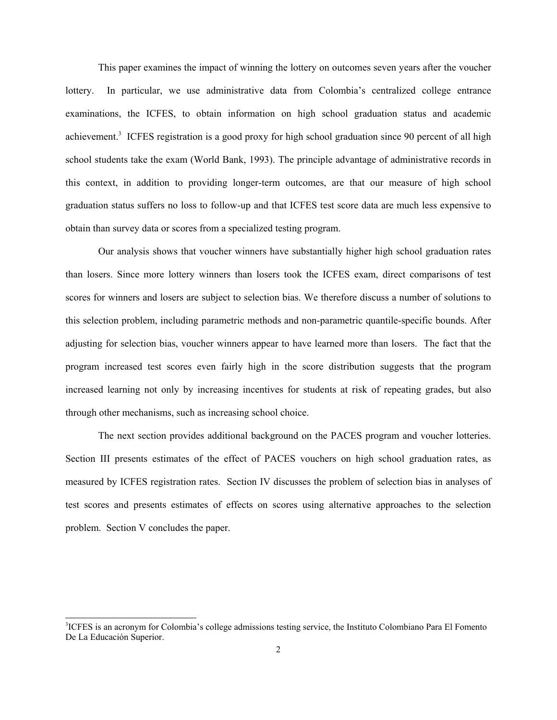This paper examines the impact of winning the lottery on outcomes seven years after the voucher lottery. In particular, we use administrative data from Colombia's centralized college entrance examinations, the ICFES, to obtain information on high school graduation status and academic achievement.<sup>3</sup> ICFES registration is a good proxy for high school graduation since 90 percent of all high school students take the exam (World Bank, 1993). The principle advantage of administrative records in this context, in addition to providing longer-term outcomes, are that our measure of high school graduation status suffers no loss to follow-up and that ICFES test score data are much less expensive to obtain than survey data or scores from a specialized testing program.

Our analysis shows that voucher winners have substantially higher high school graduation rates than losers. Since more lottery winners than losers took the ICFES exam, direct comparisons of test scores for winners and losers are subject to selection bias. We therefore discuss a number of solutions to this selection problem, including parametric methods and non-parametric quantile-specific bounds. After adjusting for selection bias, voucher winners appear to have learned more than losers. The fact that the program increased test scores even fairly high in the score distribution suggests that the program increased learning not only by increasing incentives for students at risk of repeating grades, but also through other mechanisms, such as increasing school choice.

The next section provides additional background on the PACES program and voucher lotteries. Section III presents estimates of the effect of PACES vouchers on high school graduation rates, as measured by ICFES registration rates. Section IV discusses the problem of selection bias in analyses of test scores and presents estimates of effects on scores using alternative approaches to the selection problem. Section V concludes the paper.

<sup>&</sup>lt;sup>3</sup>ICFES is an acronym for Colombia's college admissions testing service, the Instituto Colombiano Para El Fomento De La Educación Superior.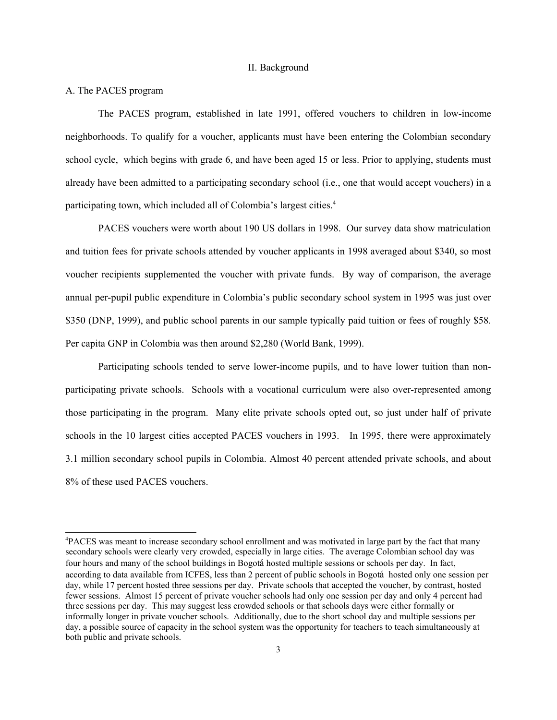### II. Background

### A. The PACES program

The PACES program, established in late 1991, offered vouchers to children in low-income neighborhoods. To qualify for a voucher, applicants must have been entering the Colombian secondary school cycle, which begins with grade 6, and have been aged 15 or less. Prior to applying, students must already have been admitted to a participating secondary school (i.e., one that would accept vouchers) in a participating town, which included all of Colombia's largest cities.4

PACES vouchers were worth about 190 US dollars in 1998. Our survey data show matriculation and tuition fees for private schools attended by voucher applicants in 1998 averaged about \$340, so most voucher recipients supplemented the voucher with private funds. By way of comparison, the average annual per-pupil public expenditure in Colombia's public secondary school system in 1995 was just over \$350 (DNP, 1999), and public school parents in our sample typically paid tuition or fees of roughly \$58. Per capita GNP in Colombia was then around \$2,280 (World Bank, 1999).

Participating schools tended to serve lower-income pupils, and to have lower tuition than nonparticipating private schools. Schools with a vocational curriculum were also over-represented among those participating in the program. Many elite private schools opted out, so just under half of private schools in the 10 largest cities accepted PACES vouchers in 1993. In 1995, there were approximately 3.1 million secondary school pupils in Colombia. Almost 40 percent attended private schools, and about 8% of these used PACES vouchers.

<sup>4</sup> PACES was meant to increase secondary school enrollment and was motivated in large part by the fact that many secondary schools were clearly very crowded, especially in large cities. The average Colombian school day was four hours and many of the school buildings in Bogotá hosted multiple sessions or schools per day. In fact, according to data available from ICFES, less than 2 percent of public schools in Bogotá hosted only one session per day, while 17 percent hosted three sessions per day. Private schools that accepted the voucher, by contrast, hosted fewer sessions. Almost 15 percent of private voucher schools had only one session per day and only 4 percent had three sessions per day. This may suggest less crowded schools or that schools days were either formally or informally longer in private voucher schools. Additionally, due to the short school day and multiple sessions per day, a possible source of capacity in the school system was the opportunity for teachers to teach simultaneously at both public and private schools.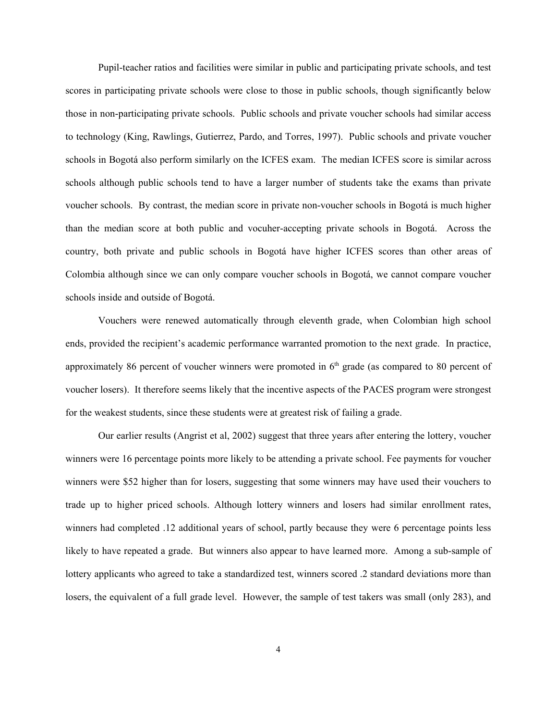Pupil-teacher ratios and facilities were similar in public and participating private schools, and test scores in participating private schools were close to those in public schools, though significantly below those in non-participating private schools. Public schools and private voucher schools had similar access to technology (King, Rawlings, Gutierrez, Pardo, and Torres, 1997). Public schools and private voucher schools in Bogotá also perform similarly on the ICFES exam. The median ICFES score is similar across schools although public schools tend to have a larger number of students take the exams than private voucher schools. By contrast, the median score in private non-voucher schools in Bogotá is much higher than the median score at both public and vocuher-accepting private schools in Bogotá. Across the country, both private and public schools in Bogotá have higher ICFES scores than other areas of Colombia although since we can only compare voucher schools in Bogotá, we cannot compare voucher schools inside and outside of Bogotá.

Vouchers were renewed automatically through eleventh grade, when Colombian high school ends, provided the recipient's academic performance warranted promotion to the next grade. In practice, approximately 86 percent of voucher winners were promoted in  $6<sup>th</sup>$  grade (as compared to 80 percent of voucher losers). It therefore seems likely that the incentive aspects of the PACES program were strongest for the weakest students, since these students were at greatest risk of failing a grade.

Our earlier results (Angrist et al, 2002) suggest that three years after entering the lottery, voucher winners were 16 percentage points more likely to be attending a private school. Fee payments for voucher winners were \$52 higher than for losers, suggesting that some winners may have used their vouchers to trade up to higher priced schools. Although lottery winners and losers had similar enrollment rates, winners had completed .12 additional years of school, partly because they were 6 percentage points less likely to have repeated a grade. But winners also appear to have learned more. Among a sub-sample of lottery applicants who agreed to take a standardized test, winners scored .2 standard deviations more than losers, the equivalent of a full grade level. However, the sample of test takers was small (only 283), and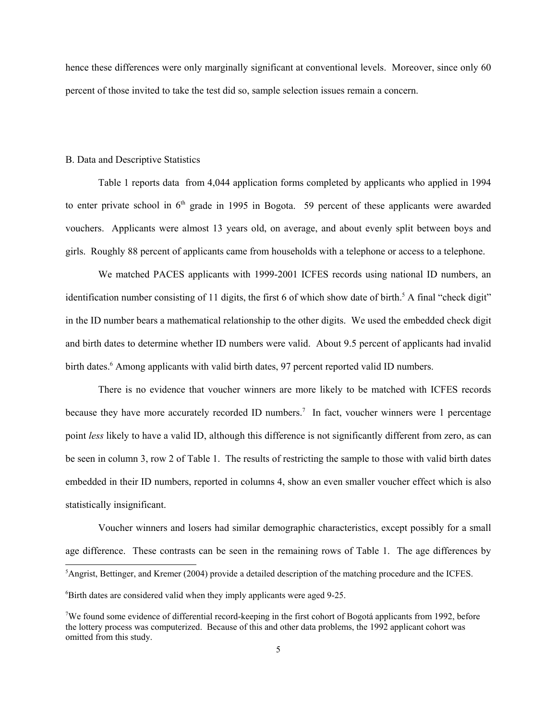hence these differences were only marginally significant at conventional levels. Moreover, since only 60 percent of those invited to take the test did so, sample selection issues remain a concern.

### B. Data and Descriptive Statistics

Table 1 reports data from 4,044 application forms completed by applicants who applied in 1994 to enter private school in  $6<sup>th</sup>$  grade in 1995 in Bogota. 59 percent of these applicants were awarded vouchers. Applicants were almost 13 years old, on average, and about evenly split between boys and girls. Roughly 88 percent of applicants came from households with a telephone or access to a telephone.

We matched PACES applicants with 1999-2001 ICFES records using national ID numbers, an identification number consisting of 11 digits, the first 6 of which show date of birth.<sup>5</sup> A final "check digit" in the ID number bears a mathematical relationship to the other digits. We used the embedded check digit and birth dates to determine whether ID numbers were valid. About 9.5 percent of applicants had invalid birth dates.<sup>6</sup> Among applicants with valid birth dates, 97 percent reported valid ID numbers.

There is no evidence that voucher winners are more likely to be matched with ICFES records because they have more accurately recorded ID numbers.<sup>7</sup> In fact, voucher winners were 1 percentage point *less* likely to have a valid ID, although this difference is not significantly different from zero, as can be seen in column 3, row 2 of Table 1. The results of restricting the sample to those with valid birth dates embedded in their ID numbers, reported in columns 4, show an even smaller voucher effect which is also statistically insignificant.

Voucher winners and losers had similar demographic characteristics, except possibly for a small age difference. These contrasts can be seen in the remaining rows of Table 1. The age differences by

<sup>&</sup>lt;sup>5</sup>Angrist, Bettinger, and Kremer (2004) provide a detailed description of the matching procedure and the ICFES.

<sup>6</sup> Birth dates are considered valid when they imply applicants were aged 9-25.

<sup>&</sup>lt;sup>7</sup>We found some evidence of differential record-keeping in the first cohort of Bogotá applicants from 1992, before the lottery process was computerized. Because of this and other data problems, the 1992 applicant cohort was omitted from this study.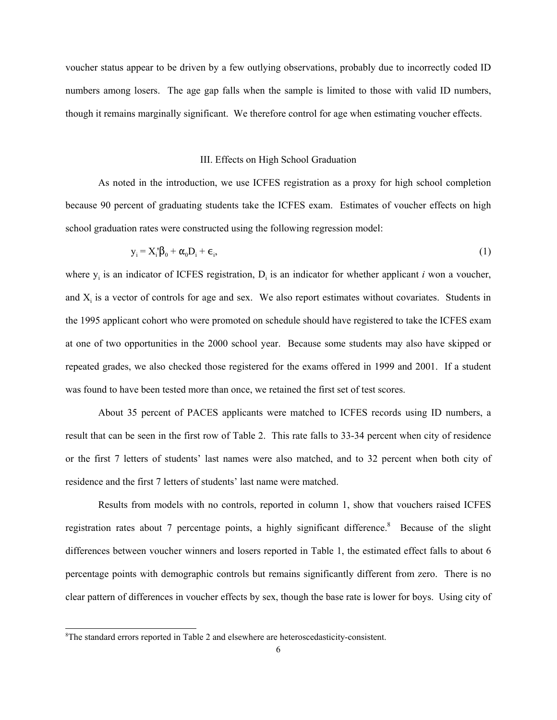voucher status appear to be driven by a few outlying observations, probably due to incorrectly coded ID numbers among losers. The age gap falls when the sample is limited to those with valid ID numbers, though it remains marginally significant. We therefore control for age when estimating voucher effects.

### III. Effects on High School Graduation

As noted in the introduction, we use ICFES registration as a proxy for high school completion because 90 percent of graduating students take the ICFES exam. Estimates of voucher effects on high school graduation rates were constructed using the following regression model:

$$
y_i = X_i' \beta_0 + \alpha_0 D_i + \epsilon_i, \tag{1}
$$

where  $y_i$  is an indicator of ICFES registration,  $D_i$  is an indicator for whether applicant *i* won a voucher, and  $X_i$  is a vector of controls for age and sex. We also report estimates without covariates. Students in the 1995 applicant cohort who were promoted on schedule should have registered to take the ICFES exam at one of two opportunities in the 2000 school year. Because some students may also have skipped or repeated grades, we also checked those registered for the exams offered in 1999 and 2001. If a student was found to have been tested more than once, we retained the first set of test scores.

About 35 percent of PACES applicants were matched to ICFES records using ID numbers, a result that can be seen in the first row of Table 2. This rate falls to 33-34 percent when city of residence or the first 7 letters of students' last names were also matched, and to 32 percent when both city of residence and the first 7 letters of students' last name were matched.

Results from models with no controls, reported in column 1, show that vouchers raised ICFES registration rates about 7 percentage points, a highly significant difference.<sup>8</sup> Because of the slight differences between voucher winners and losers reported in Table 1, the estimated effect falls to about 6 percentage points with demographic controls but remains significantly different from zero. There is no clear pattern of differences in voucher effects by sex, though the base rate is lower for boys. Using city of

<sup>8</sup> The standard errors reported in Table 2 and elsewhere are heteroscedasticity-consistent.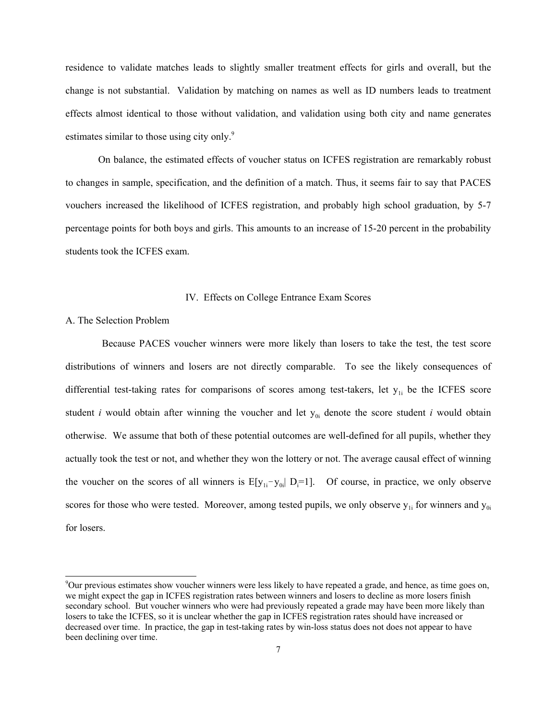residence to validate matches leads to slightly smaller treatment effects for girls and overall, but the change is not substantial. Validation by matching on names as well as ID numbers leads to treatment effects almost identical to those without validation, and validation using both city and name generates estimates similar to those using city only.<sup>9</sup>

On balance, the estimated effects of voucher status on ICFES registration are remarkably robust to changes in sample, specification, and the definition of a match. Thus, it seems fair to say that PACES vouchers increased the likelihood of ICFES registration, and probably high school graduation, by 5-7 percentage points for both boys and girls. This amounts to an increase of 15-20 percent in the probability students took the ICFES exam.

#### IV. Effects on College Entrance Exam Scores

### A. The Selection Problem

 Because PACES voucher winners were more likely than losers to take the test, the test score distributions of winners and losers are not directly comparable. To see the likely consequences of differential test-taking rates for comparisons of scores among test-takers, let  $y_{1i}$  be the ICFES score student *i* would obtain after winning the voucher and let  $y_{0i}$  denote the score student *i* would obtain otherwise. We assume that both of these potential outcomes are well-defined for all pupils, whether they actually took the test or not, and whether they won the lottery or not. The average causal effect of winning the voucher on the scores of all winners is  $E[y_{1i}-y_{0i}]$   $D_i=1$ . Of course, in practice, we only observe scores for those who were tested. Moreover, among tested pupils, we only observe  $y_{1i}$  for winners and  $y_{0i}$ for losers.

<sup>9</sup> Our previous estimates show voucher winners were less likely to have repeated a grade, and hence, as time goes on, we might expect the gap in ICFES registration rates between winners and losers to decline as more losers finish secondary school. But voucher winners who were had previously repeated a grade may have been more likely than losers to take the ICFES, so it is unclear whether the gap in ICFES registration rates should have increased or decreased over time. In practice, the gap in test-taking rates by win-loss status does not does not appear to have been declining over time.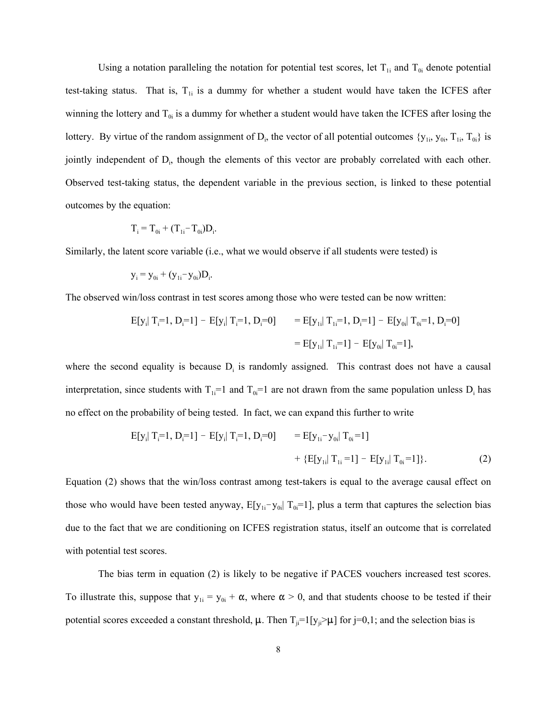Using a notation paralleling the notation for potential test scores, let  $T_{1i}$  and  $T_{0i}$  denote potential test-taking status. That is,  $T_{1i}$  is a dummy for whether a student would have taken the ICFES after winning the lottery and  $T_{0i}$  is a dummy for whether a student would have taken the ICFES after losing the lottery. By virtue of the random assignment of  $D_i$ , the vector of all potential outcomes  $\{y_{1i}, y_{0i}, T_{1i}, T_{0i}\}$  is jointly independent of D<sub>i</sub>, though the elements of this vector are probably correlated with each other. Observed test-taking status, the dependent variable in the previous section, is linked to these potential outcomes by the equation:

$$
T_i = T_{0i} + (T_{1i} - T_{0i})D_i.
$$

Similarly, the latent score variable (i.e., what we would observe if all students were tested) is

$$
y_i = y_{0i} + (y_{1i} - y_{0i})D_i.
$$

The observed win/loss contrast in test scores among those who were tested can be now written:

$$
E[y_i | T_i=1, D_i=1] - E[y_i | T_i=1, D_i=0] = E[y_{1i} | T_{1i}=1, D_i=1] - E[y_{0i} | T_{0i}=1, D_i=0]
$$
  
= 
$$
E[y_{1i} | T_{1i}=1] - E[y_{0i} | T_{0i}=1],
$$

where the second equality is because  $D_i$  is randomly assigned. This contrast does not have a causal interpretation, since students with  $T_{1i}=1$  and  $T_{0i}=1$  are not drawn from the same population unless  $D_i$  has no effect on the probability of being tested. In fact, we can expand this further to write

$$
E[y_i | T_i = 1, D_i = 1] - E[y_i | T_i = 1, D_i = 0] = E[y_{1i} - y_{0i} | T_{0i} = 1] + \{E[y_{1i} | T_{1i} = 1] - E[y_{1i} | T_{0i} = 1] \}.
$$
 (2)

Equation (2) shows that the win/loss contrast among test-takers is equal to the average causal effect on those who would have been tested anyway,  $E[y_{1i} - y_{0i}] T_{0i} = 1$ , plus a term that captures the selection bias due to the fact that we are conditioning on ICFES registration status, itself an outcome that is correlated with potential test scores.

The bias term in equation (2) is likely to be negative if PACES vouchers increased test scores. To illustrate this, suppose that  $y_{1i} = y_{0i} + \alpha$ , where  $\alpha > 0$ , and that students choose to be tested if their potential scores exceeded a constant threshold,  $\mu$ . Then  $T_{ji}=1[y_{ji}>\mu$  for j=0,1; and the selection bias is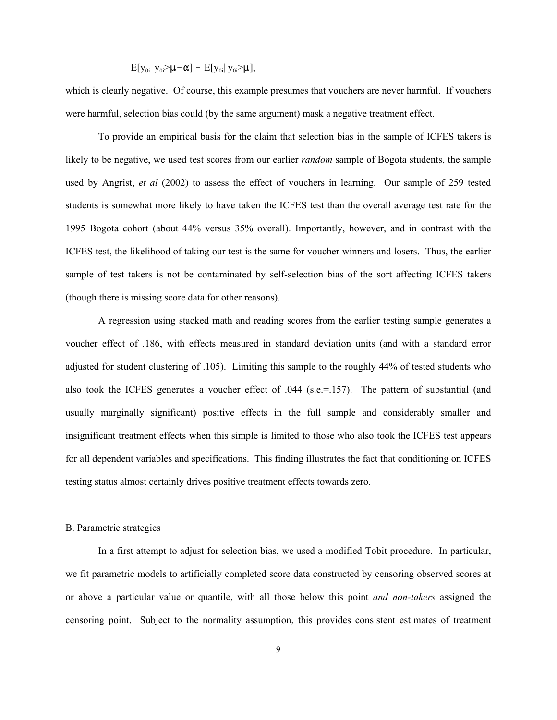$$
E[y_{0i} | y_{0i} > \mu - \alpha] - E[y_{0i} | y_{0i} > \mu],
$$

which is clearly negative. Of course, this example presumes that vouchers are never harmful. If vouchers were harmful, selection bias could (by the same argument) mask a negative treatment effect.

To provide an empirical basis for the claim that selection bias in the sample of ICFES takers is likely to be negative, we used test scores from our earlier *random* sample of Bogota students, the sample used by Angrist, *et al* (2002) to assess the effect of vouchers in learning. Our sample of 259 tested students is somewhat more likely to have taken the ICFES test than the overall average test rate for the 1995 Bogota cohort (about 44% versus 35% overall). Importantly, however, and in contrast with the ICFES test, the likelihood of taking our test is the same for voucher winners and losers. Thus, the earlier sample of test takers is not be contaminated by self-selection bias of the sort affecting ICFES takers (though there is missing score data for other reasons).

A regression using stacked math and reading scores from the earlier testing sample generates a voucher effect of .186, with effects measured in standard deviation units (and with a standard error adjusted for student clustering of .105). Limiting this sample to the roughly 44% of tested students who also took the ICFES generates a voucher effect of .044 (s.e.=.157). The pattern of substantial (and usually marginally significant) positive effects in the full sample and considerably smaller and insignificant treatment effects when this simple is limited to those who also took the ICFES test appears for all dependent variables and specifications. This finding illustrates the fact that conditioning on ICFES testing status almost certainly drives positive treatment effects towards zero.

#### B. Parametric strategies

In a first attempt to adjust for selection bias, we used a modified Tobit procedure. In particular, we fit parametric models to artificially completed score data constructed by censoring observed scores at or above a particular value or quantile, with all those below this point *and non-takers* assigned the censoring point. Subject to the normality assumption, this provides consistent estimates of treatment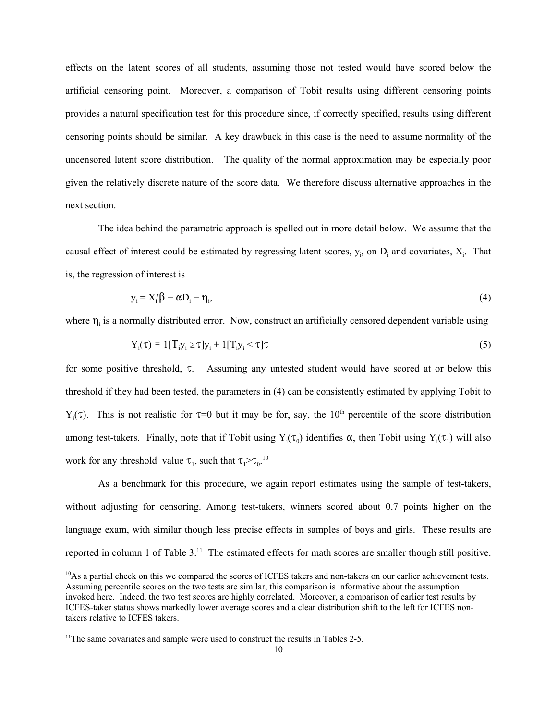effects on the latent scores of all students, assuming those not tested would have scored below the artificial censoring point. Moreover, a comparison of Tobit results using different censoring points provides a natural specification test for this procedure since, if correctly specified, results using different censoring points should be similar. A key drawback in this case is the need to assume normality of the uncensored latent score distribution. The quality of the normal approximation may be especially poor given the relatively discrete nature of the score data. We therefore discuss alternative approaches in the next section.

The idea behind the parametric approach is spelled out in more detail below. We assume that the causal effect of interest could be estimated by regressing latent scores,  $y_i$ , on  $D_i$  and covariates,  $X_i$ . That is, the regression of interest is

$$
y_i = X_i' \beta + \alpha D_i + \eta_i, \tag{4}
$$

where  $\eta_i$  is a normally distributed error. Now, construct an artificially censored dependent variable using

$$
Y_i(\tau) = 1[T_i y_i \ge \tau] y_i + 1[T_i y_i < \tau] \tau \tag{5}
$$

for some positive threshold,  $\tau$ . Assuming any untested student would have scored at or below this threshold if they had been tested, the parameters in (4) can be consistently estimated by applying Tobit to Y<sub>i</sub>( $\tau$ ). This is not realistic for  $\tau=0$  but it may be for, say, the 10<sup>th</sup> percentile of the score distribution among test-takers. Finally, note that if Tobit using  $Y_i(\tau_0)$  identifies  $\alpha$ , then Tobit using  $Y_i(\tau_1)$  will also work for any threshold value  $\tau_1$ , such that  $\tau_1 > \tau_0$ .<sup>10</sup>

As a benchmark for this procedure, we again report estimates using the sample of test-takers, without adjusting for censoring. Among test-takers, winners scored about 0.7 points higher on the language exam, with similar though less precise effects in samples of boys and girls. These results are reported in column 1 of Table 3.<sup>11</sup> The estimated effects for math scores are smaller though still positive.

<sup>&</sup>lt;sup>10</sup>As a partial check on this we compared the scores of ICFES takers and non-takers on our earlier achievement tests. Assuming percentile scores on the two tests are similar, this comparison is informative about the assumption invoked here. Indeed, the two test scores are highly correlated. Moreover, a comparison of earlier test results by ICFES-taker status shows markedly lower average scores and a clear distribution shift to the left for ICFES nontakers relative to ICFES takers.

<sup>&</sup>lt;sup>11</sup>The same covariates and sample were used to construct the results in Tables 2-5.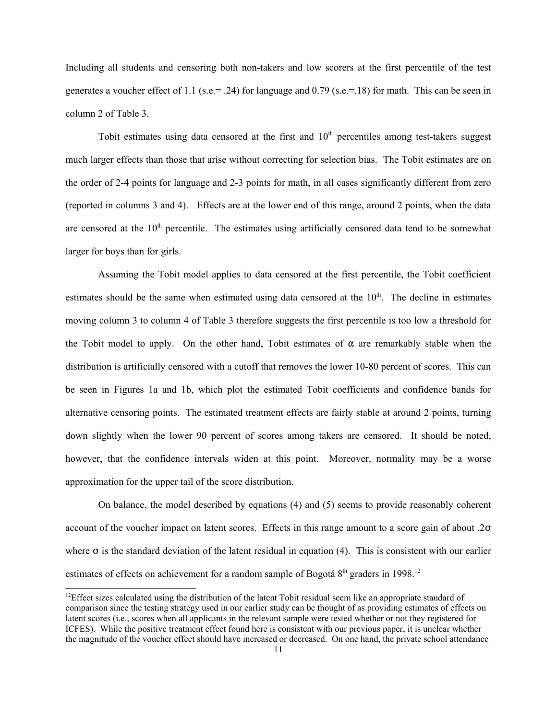Including all students and censoring both non-takers and low scorers at the first percentile of the test generates a voucher effect of 1.1 (s.e.= .24) for language and 0.79 (s.e.=.18) for math. This can be seen in column 2 of Table 3.

Tobit estimates using data censored at the first and  $10<sup>th</sup>$  percentiles among test-takers suggest much larger effects than those that arise without correcting for selection bias. The Tobit estimates are on the order of 2-4 points for language and 2-3 points for math, in all cases significantly different from zero (reported in columns 3 and 4). Effects are at the lower end of this range, around 2 points, when the data are censored at the  $10<sup>th</sup>$  percentile. The estimates using artificially censored data tend to be somewhat larger for boys than for girls.

Assuming the Tobit model applies to data censored at the first percentile, the Tobit coefficient estimates should be the same when estimated using data censored at the  $10<sup>th</sup>$ . The decline in estimates moving column 3 to column 4 of Table 3 therefore suggests the first percentile is too low a threshold for the Tobit model to apply. On the other hand, Tobit estimates of  $\alpha$  are remarkably stable when the distribution is artificially censored with a cutoff that removes the lower 10-80 percent of scores. This can be seen in Figures 1a and 1b, which plot the estimated Tobit coefficients and confidence bands for alternative censoring points. The estimated treatment effects are fairly stable at around 2 points, turning down slightly when the lower 90 percent of scores among takers are censored. It should be noted, however, that the confidence intervals widen at this point. Moreover, normality may be a worse approximation for the upper tail of the score distribution.

On balance, the model described by equations (4) and (5) seems to provide reasonably coherent account of the voucher impact on latent scores. Effects in this range amount to a score gain of about .2 $\sigma$ where  $\sigma$  is the standard deviation of the latent residual in equation (4). This is consistent with our earlier estimates of effects on achievement for a random sample of Bogotá  $8<sup>th</sup>$  graders in 1998.<sup>12</sup>

 $12E$  Effect sizes calculated using the distribution of the latent Tobit residual seem like an appropriate standard of comparison since the testing strategy used in our earlier study can be thought of as providing estimates of effects on latent scores (i.e., scores when all applicants in the relevant sample were tested whether or not they registered for ICFES). While the positive treatment effect found here is consistent with our previous paper, it is unclear whether the magnitude of the voucher effect should have increased or decreased. On one hand, the private school attendance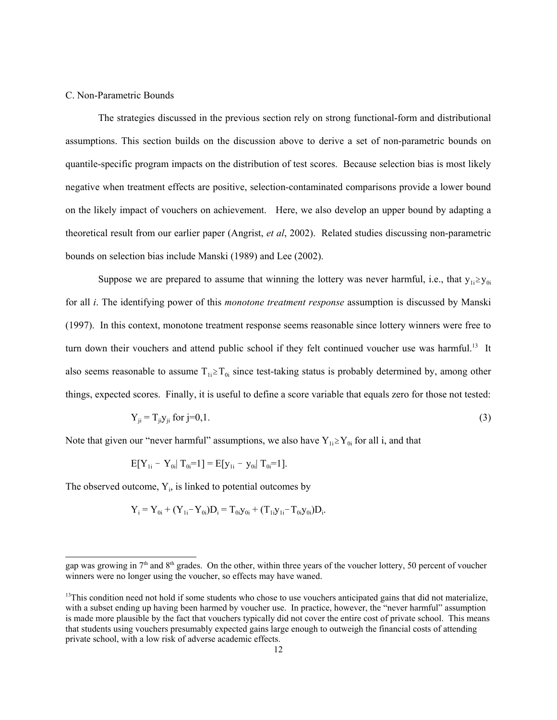### C. Non-Parametric Bounds

The strategies discussed in the previous section rely on strong functional-form and distributional assumptions. This section builds on the discussion above to derive a set of non-parametric bounds on quantile-specific program impacts on the distribution of test scores. Because selection bias is most likely negative when treatment effects are positive, selection-contaminated comparisons provide a lower bound on the likely impact of vouchers on achievement. Here, we also develop an upper bound by adapting a theoretical result from our earlier paper (Angrist, *et al*, 2002). Related studies discussing non-parametric bounds on selection bias include Manski (1989) and Lee (2002).

Suppose we are prepared to assume that winning the lottery was never harmful, i.e., that  $y_{1i} \ge y_{0i}$ for all *i*. The identifying power of this *monotone treatment response* assumption is discussed by Manski (1997). In this context, monotone treatment response seems reasonable since lottery winners were free to turn down their vouchers and attend public school if they felt continued voucher use was harmful.<sup>13</sup> It also seems reasonable to assume  $T_{1i} \geq T_{0i}$  since test-taking status is probably determined by, among other things, expected scores. Finally, it is useful to define a score variable that equals zero for those not tested:

$$
Y_{ji} = T_{ji} y_{ji} \text{ for } j=0,1. \tag{3}
$$

Note that given our "never harmful" assumptions, we also have  $Y_{1i} \ge Y_{0i}$  for all i, and that

$$
E[Y_{1i} - Y_{0i} | T_{0i} = 1] = E[y_{1i} - y_{0i} | T_{0i} = 1].
$$

The observed outcome,  $Y_i$ , is linked to potential outcomes by

$$
Y_i = Y_{0i} + (Y_{1i} - Y_{0i})D_i = T_{0i}y_{0i} + (T_{1i}y_{1i} - T_{0i}y_{0i})D_i.
$$

gap was growing in  $7<sup>th</sup>$  and  $8<sup>th</sup>$  grades. On the other, within three years of the voucher lottery, 50 percent of voucher winners were no longer using the voucher, so effects may have waned.

 $13$ This condition need not hold if some students who chose to use vouchers anticipated gains that did not materialize, with a subset ending up having been harmed by voucher use. In practice, however, the "never harmful" assumption is made more plausible by the fact that vouchers typically did not cover the entire cost of private school. This means that students using vouchers presumably expected gains large enough to outweigh the financial costs of attending private school, with a low risk of adverse academic effects.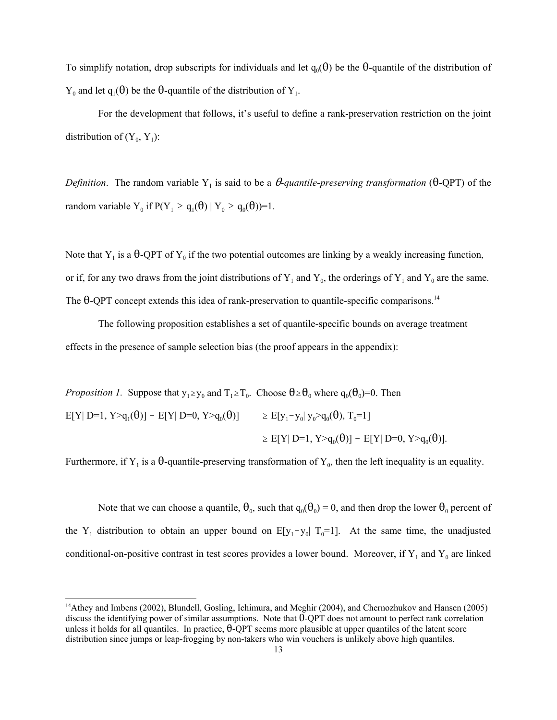To simplify notation, drop subscripts for individuals and let  $q_0(\theta)$  be the  $\theta$ -quantile of the distribution of  $Y_0$  and let  $q_1(\theta)$  be the  $\theta$ -quantile of the distribution of  $Y_1$ .

For the development that follows, it's useful to define a rank-preservation restriction on the joint distribution of  $(Y_0, Y_1)$ :

*Definition*. The random variable Y<sub>1</sub> is said to be a  $\theta$ -quantile-preserving transformation ( $\theta$ -QPT) of the random variable Y<sub>0</sub> if  $P(Y_1 \ge q_1(\theta) | Y_0 \ge q_0(\theta))=1$ .

Note that  $Y_1$  is a  $\theta$ -QPT of  $Y_0$  if the two potential outcomes are linking by a weakly increasing function, or if, for any two draws from the joint distributions of  $Y_1$  and  $Y_0$ , the orderings of  $Y_1$  and  $Y_0$  are the same. The  $\theta$ -QPT concept extends this idea of rank-preservation to quantile-specific comparisons.<sup>14</sup>

The following proposition establishes a set of quantile-specific bounds on average treatment effects in the presence of sample selection bias (the proof appears in the appendix):

*Proposition 1.* Suppose that  $y_1 \ge y_0$  and  $T_1 \ge T_0$ . Choose  $\theta \ge \theta_0$  where  $q_0(\theta_0)=0$ . Then  $E[Y| D=1, Y>q_1(\theta)] - E[Y| D=0, Y>q_0(\theta)] \ge E[y_1-y_0| y_0>q_0(\theta), T_0=1]$  $\geq$  E[Y| D=1, Y>q<sub>0</sub>( $\theta$ )] - E[Y| D=0, Y>q<sub>0</sub>( $\theta$ )].

Furthermore, if Y<sub>1</sub> is a  $\theta$ -quantile-preserving transformation of Y<sub>0</sub>, then the left inequality is an equality.

Note that we can choose a quantile,  $\theta_0$ , such that  $q_0(\theta_0) = 0$ , and then drop the lower  $\theta_0$  percent of the Y<sub>1</sub> distribution to obtain an upper bound on  $E[y_1-y_0]$  T<sub>0</sub>=1]. At the same time, the unadjusted conditional-on-positive contrast in test scores provides a lower bound. Moreover, if  $Y_1$  and  $Y_0$  are linked

<sup>14</sup>Athey and Imbens (2002), Blundell, Gosling, Ichimura, and Meghir (2004), and Chernozhukov and Hansen (2005) discuss the identifying power of similar assumptions. Note that  $\theta$ -QPT does not amount to perfect rank correlation unless it holds for all quantiles. In practice,  $\theta$ -QPT seems more plausible at upper quantiles of the latent score distribution since jumps or leap-frogging by non-takers who win vouchers is unlikely above high quantiles.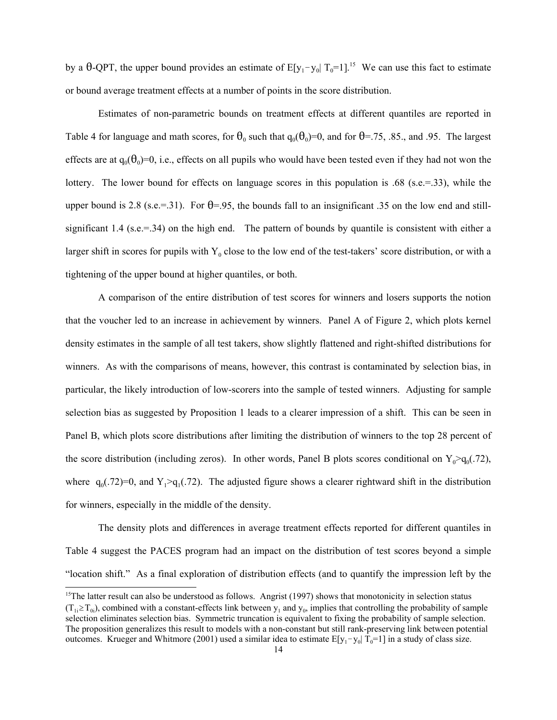by a  $\theta$ -QPT, the upper bound provides an estimate of E[y<sub>1</sub>-y<sub>0</sub>| T<sub>0</sub>=1].<sup>15</sup> We can use this fact to estimate or bound average treatment effects at a number of points in the score distribution.

Estimates of non-parametric bounds on treatment effects at different quantiles are reported in Table 4 for language and math scores, for  $\theta_0$  such that  $q_0(\theta_0)=0$ , and for  $\theta=$ .75, .85., and .95. The largest effects are at  $q_0(\theta_0)=0$ , i.e., effects on all pupils who would have been tested even if they had not won the lottery. The lower bound for effects on language scores in this population is .68 (s.e.=.33), while the upper bound is 2.8 (s.e.=.31). For  $\theta$ =.95, the bounds fall to an insignificant .35 on the low end and stillsignificant 1.4 (s.e.=.34) on the high end. The pattern of bounds by quantile is consistent with either a larger shift in scores for pupils with  $Y_0$  close to the low end of the test-takers' score distribution, or with a tightening of the upper bound at higher quantiles, or both.

A comparison of the entire distribution of test scores for winners and losers supports the notion that the voucher led to an increase in achievement by winners. Panel A of Figure 2, which plots kernel density estimates in the sample of all test takers, show slightly flattened and right-shifted distributions for winners. As with the comparisons of means, however, this contrast is contaminated by selection bias, in particular, the likely introduction of low-scorers into the sample of tested winners. Adjusting for sample selection bias as suggested by Proposition 1 leads to a clearer impression of a shift. This can be seen in Panel B, which plots score distributions after limiting the distribution of winners to the top 28 percent of the score distribution (including zeros). In other words, Panel B plots scores conditional on  $Y_0>q_0(.72)$ , where  $q_0(.72)=0$ , and  $Y_1>q_1(.72)$ . The adjusted figure shows a clearer rightward shift in the distribution for winners, especially in the middle of the density.

The density plots and differences in average treatment effects reported for different quantiles in Table 4 suggest the PACES program had an impact on the distribution of test scores beyond a simple "location shift." As a final exploration of distribution effects (and to quantify the impression left by the

 $15$ The latter result can also be understood as follows. Angrist (1997) shows that monotonicity in selection status  $(T_{1i} \geq T_{0i})$ , combined with a constant-effects link between y<sub>1</sub> and y<sub>0</sub>, implies that controlling the probability of sample selection eliminates selection bias. Symmetric truncation is equivalent to fixing the probability of sample selection. The proposition generalizes this result to models with a non-constant but still rank-preserving link between potential outcomes. Krueger and Whitmore (2001) used a similar idea to estimate  $E[y_1-y_0|T_0=1]$  in a study of class size.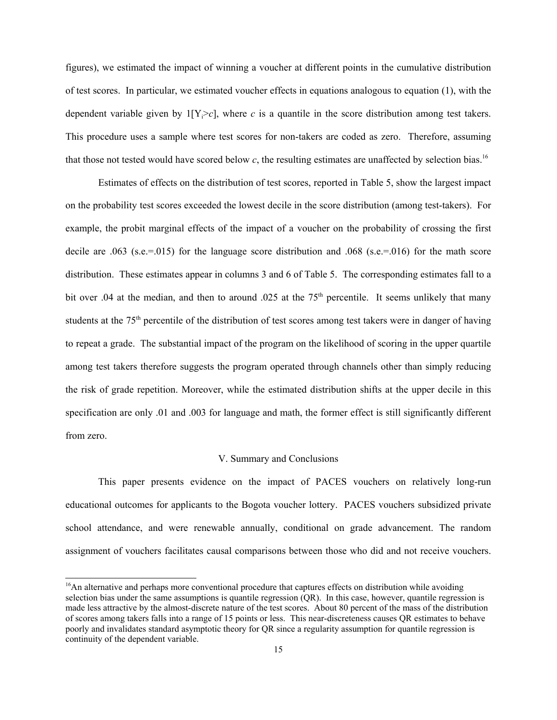figures), we estimated the impact of winning a voucher at different points in the cumulative distribution of test scores. In particular, we estimated voucher effects in equations analogous to equation (1), with the dependent variable given by  $1[Y_i > c]$ , where *c* is a quantile in the score distribution among test takers. This procedure uses a sample where test scores for non-takers are coded as zero. Therefore, assuming that those not tested would have scored below *c*, the resulting estimates are unaffected by selection bias.16

Estimates of effects on the distribution of test scores, reported in Table 5, show the largest impact on the probability test scores exceeded the lowest decile in the score distribution (among test-takers). For example, the probit marginal effects of the impact of a voucher on the probability of crossing the first decile are .063 (s.e.=.015) for the language score distribution and .068 (s.e.=.016) for the math score distribution. These estimates appear in columns 3 and 6 of Table 5. The corresponding estimates fall to a bit over .04 at the median, and then to around .025 at the  $75<sup>th</sup>$  percentile. It seems unlikely that many students at the 75<sup>th</sup> percentile of the distribution of test scores among test takers were in danger of having to repeat a grade. The substantial impact of the program on the likelihood of scoring in the upper quartile among test takers therefore suggests the program operated through channels other than simply reducing the risk of grade repetition. Moreover, while the estimated distribution shifts at the upper decile in this specification are only .01 and .003 for language and math, the former effect is still significantly different from zero.

#### V. Summary and Conclusions

This paper presents evidence on the impact of PACES vouchers on relatively long-run educational outcomes for applicants to the Bogota voucher lottery. PACES vouchers subsidized private school attendance, and were renewable annually, conditional on grade advancement. The random assignment of vouchers facilitates causal comparisons between those who did and not receive vouchers.

 $16$ An alternative and perhaps more conventional procedure that captures effects on distribution while avoiding selection bias under the same assumptions is quantile regression (QR). In this case, however, quantile regression is made less attractive by the almost-discrete nature of the test scores. About 80 percent of the mass of the distribution of scores among takers falls into a range of 15 points or less. This near-discreteness causes QR estimates to behave poorly and invalidates standard asymptotic theory for QR since a regularity assumption for quantile regression is continuity of the dependent variable.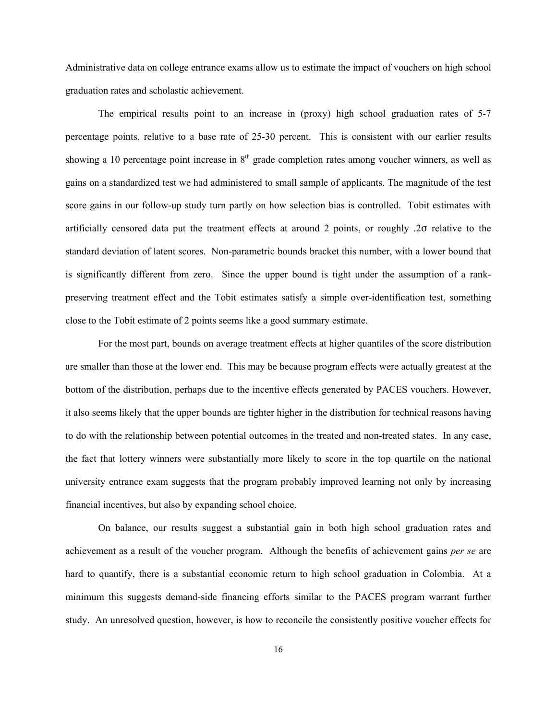Administrative data on college entrance exams allow us to estimate the impact of vouchers on high school graduation rates and scholastic achievement.

The empirical results point to an increase in (proxy) high school graduation rates of 5-7 percentage points, relative to a base rate of 25-30 percent. This is consistent with our earlier results showing a 10 percentage point increase in 8<sup>th</sup> grade completion rates among voucher winners, as well as gains on a standardized test we had administered to small sample of applicants. The magnitude of the test score gains in our follow-up study turn partly on how selection bias is controlled. Tobit estimates with artificially censored data put the treatment effects at around 2 points, or roughly .20 relative to the standard deviation of latent scores. Non-parametric bounds bracket this number, with a lower bound that is significantly different from zero. Since the upper bound is tight under the assumption of a rankpreserving treatment effect and the Tobit estimates satisfy a simple over-identification test, something close to the Tobit estimate of 2 points seems like a good summary estimate.

For the most part, bounds on average treatment effects at higher quantiles of the score distribution are smaller than those at the lower end. This may be because program effects were actually greatest at the bottom of the distribution, perhaps due to the incentive effects generated by PACES vouchers. However, it also seems likely that the upper bounds are tighter higher in the distribution for technical reasons having to do with the relationship between potential outcomes in the treated and non-treated states. In any case, the fact that lottery winners were substantially more likely to score in the top quartile on the national university entrance exam suggests that the program probably improved learning not only by increasing financial incentives, but also by expanding school choice.

On balance, our results suggest a substantial gain in both high school graduation rates and achievement as a result of the voucher program. Although the benefits of achievement gains *per se* are hard to quantify, there is a substantial economic return to high school graduation in Colombia. At a minimum this suggests demand-side financing efforts similar to the PACES program warrant further study. An unresolved question, however, is how to reconcile the consistently positive voucher effects for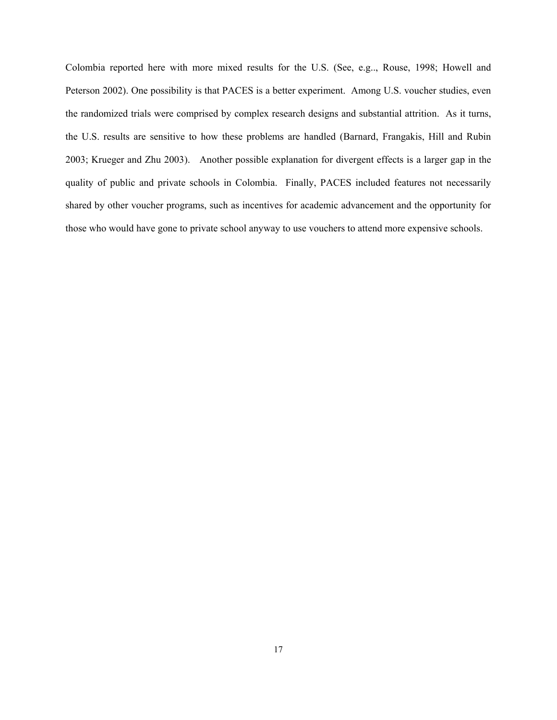Colombia reported here with more mixed results for the U.S. (See, e.g.., Rouse, 1998; Howell and Peterson 2002). One possibility is that PACES is a better experiment. Among U.S. voucher studies, even the randomized trials were comprised by complex research designs and substantial attrition. As it turns, the U.S. results are sensitive to how these problems are handled (Barnard, Frangakis, Hill and Rubin 2003; Krueger and Zhu 2003). Another possible explanation for divergent effects is a larger gap in the quality of public and private schools in Colombia. Finally, PACES included features not necessarily shared by other voucher programs, such as incentives for academic advancement and the opportunity for those who would have gone to private school anyway to use vouchers to attend more expensive schools.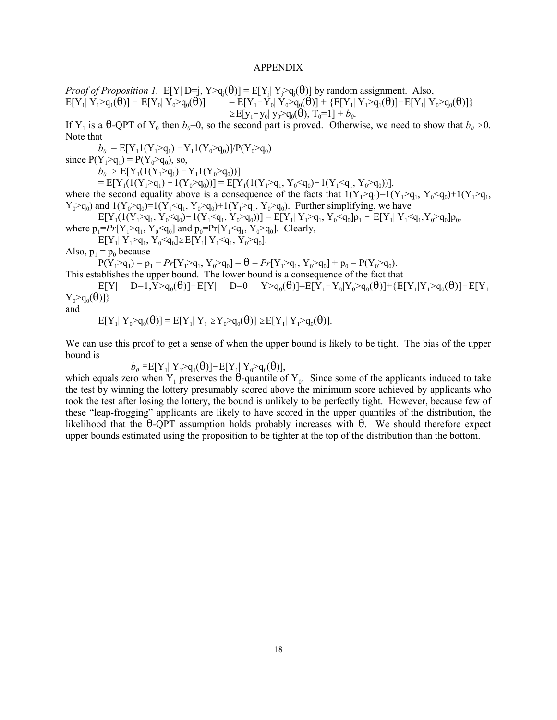#### APPENDIX

*Proof of Proposition 1.*  $E[Y | D=j, Y>q_i(\theta)] = E[Y_j | Y_j>q_i(\theta)]$  by random assignment. Also,  $E[Y_1 | Y_1 > q_1(\hat{\theta})] - E[Y_0 | Y_0 > q_0(\hat{\theta})]$  =  $E[Y_1 - Y_0 | Y_0 > q_0(\hat{\theta})] + \{E[Y_1 | Y_1 > q_1(\hat{\theta})] - E[Y_1 | Y_0 > q_0(\hat{\theta})]\}$  $\geq E[y_1 - y_0] y_0 > q_0(\theta), T_0 = 1] + b_0.$ 

If Y<sub>1</sub> is a  $\theta$ -QPT of Y<sub>0</sub> then  $b_0=0$ , so the second part is proved. Otherwise, we need to show that  $b_0 \ge 0$ . Note that

 $b_0 = E[Y_11(Y_1>q_1) - Y_11(Y_0>q_0)]/P(Y_0>q_0)$ 

since  $P(Y_1>q_1) = P(Y_0>q_0)$ , so,

 $b_0 \geq E[Y_1(1(Y_1>q_1) - Y_1(1(Y_0>q_0))]$ 

 $= E[Y_1(1(Y_1>q_1) - 1(Y_0>q_0))] = E[Y_1(1(Y_1>q_1, Y_0q_0))]$ 

where the second equality above is a consequence of the facts that  $1(Y_1>q_1)=1(Y_1>q_1, Y_0q_1,$  $Y_0>q_0$ ) and  $1(Y_0>q_0)=1(Y_1q_0)+1(Y_1>q_1, Y_0>q_0)$ . Further simplifying, we have

 $E[Y_1(1(Y_1>q_1, Y_0\leq q_0)-1(Y_1\leq q_1, Y_0>q_0))] = E[Y_1|Y_1>q_1, Y_0\leq q_0]p_1 - E[Y_1|Y_1\leq q_1, Y_0>q_0]p_0,$ where  $p_1 = Pr[Y_1 > q_1, Y_0 \leq q_0]$  and  $p_0 = Pr[Y_1 \leq q_1, Y_0 > q_0]$ . Clearly,

 $E[Y_1| Y_1>q_1, Y_0q_0].$ 

Also,  $p_1 = p_0$  because

 $P(Y_1>q_1) = p_1 + Pr[Y_1>q_1, Y_0>q_0] = \theta = Pr[Y_1>q_1, Y_0>q_0] + p_0 = P(Y_0>q_0).$ 

This establishes the upper bound. The lower bound is a consequence of the fact that

 $E[Y]$  D=1,Y>q<sub>0</sub>( $\theta$ )]-E[Y| D=0 Y>q<sub>0</sub>( $\theta$ )]=E[Y<sub>1</sub>-Y<sub>0</sub>|Y<sub>0</sub>>q<sub>0</sub>( $\theta$ )]+{E[Y<sub>1</sub>|Y<sub>1</sub>>q<sub>0</sub>( $\theta$ )]-E[Y<sub>1</sub>|  $Y_0 > q_0(\theta)$ }

and

$$
E[Y_1 | Y_0 > q_0(\theta)] = E[Y_1 | Y_1 \ge Y_0 > q_0(\theta)] \ge E[Y_1 | Y_1 > q_0(\theta)].
$$

We can use this proof to get a sense of when the upper bound is likely to be tight. The bias of the upper bound is

 $b_0 = E[Y_1 | Y_1 > q_1(\theta)] - E[Y_1 | Y_0 > q_0(\theta)],$ 

which equals zero when  $Y_1$  preserves the  $\hat{\theta}$ -quantile of  $Y_0$ . Since some of the applicants induced to take the test by winning the lottery presumably scored above the minimum score achieved by applicants who took the test after losing the lottery, the bound is unlikely to be perfectly tight. However, because few of these "leap-frogging" applicants are likely to have scored in the upper quantiles of the distribution, the likelihood that the  $\theta$ -QPT assumption holds probably increases with  $\theta$ . We should therefore expect upper bounds estimated using the proposition to be tighter at the top of the distribution than the bottom.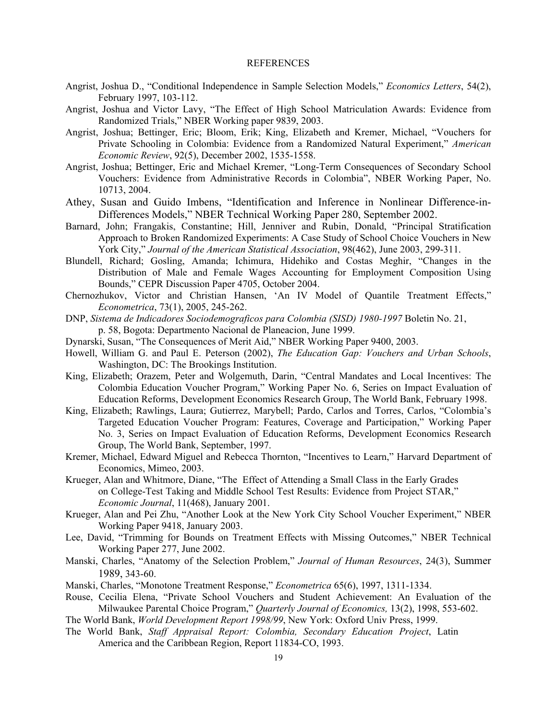#### REFERENCES

- Angrist, Joshua D., "Conditional Independence in Sample Selection Models," *Economics Letters*, 54(2), February 1997, 103-112.
- Angrist, Joshua and Victor Lavy, "The Effect of High School Matriculation Awards: Evidence from Randomized Trials," NBER Working paper 9839, 2003.
- Angrist, Joshua; Bettinger, Eric; Bloom, Erik; King, Elizabeth and Kremer, Michael, "Vouchers for Private Schooling in Colombia: Evidence from a Randomized Natural Experiment," *American Economic Review*, 92(5), December 2002, 1535-1558.
- Angrist, Joshua; Bettinger, Eric and Michael Kremer, "Long-Term Consequences of Secondary School Vouchers: Evidence from Administrative Records in Colombia", NBER Working Paper, No. 10713, 2004.
- Athey, Susan and Guido Imbens, "Identification and Inference in Nonlinear Difference-in-Differences Models," NBER Technical Working Paper 280, September 2002.
- Barnard, John; Frangakis, Constantine; Hill, Jenniver and Rubin, Donald, "Principal Stratification Approach to Broken Randomized Experiments: A Case Study of School Choice Vouchers in New York City," *Journal of the American Statistical Association*, 98(462), June 2003, 299-311.
- Blundell, Richard; Gosling, Amanda; Ichimura, Hidehiko and Costas Meghir, "Changes in the Distribution of Male and Female Wages Accounting for Employment Composition Using Bounds," CEPR Discussion Paper 4705, October 2004.
- Chernozhukov, Victor and Christian Hansen, 'An IV Model of Quantile Treatment Effects," *Econometrica*, 73(1), 2005, 245-262.
- DNP, *Sistema de Indicadores Sociodemograficos para Colombia (SISD) 1980-1997* Boletin No. 21, p. 58, Bogota: Departmento Nacional de Planeacion, June 1999.
- Dynarski, Susan, "The Consequences of Merit Aid," NBER Working Paper 9400, 2003.
- Howell, William G. and Paul E. Peterson (2002), *The Education Gap: Vouchers and Urban Schools*, Washington, DC: The Brookings Institution.
- King, Elizabeth; Orazem, Peter and Wolgemuth, Darin, "Central Mandates and Local Incentives: The Colombia Education Voucher Program," Working Paper No. 6, Series on Impact Evaluation of Education Reforms, Development Economics Research Group, The World Bank, February 1998.
- King, Elizabeth; Rawlings, Laura; Gutierrez, Marybell; Pardo, Carlos and Torres, Carlos, "Colombia's Targeted Education Voucher Program: Features, Coverage and Participation," Working Paper No. 3, Series on Impact Evaluation of Education Reforms, Development Economics Research Group, The World Bank, September, 1997.
- Kremer, Michael, Edward Miguel and Rebecca Thornton, "Incentives to Learn," Harvard Department of Economics, Mimeo, 2003.
- Krueger, Alan and Whitmore, Diane, "The Effect of Attending a Small Class in the Early Grades on College-Test Taking and Middle School Test Results: Evidence from Project STAR," *Economic Journal*, 11(468), January 2001.
- Krueger, Alan and Pei Zhu, "Another Look at the New York City School Voucher Experiment," NBER Working Paper 9418, January 2003.
- Lee, David, "Trimming for Bounds on Treatment Effects with Missing Outcomes," NBER Technical Working Paper 277, June 2002.
- Manski, Charles, "Anatomy of the Selection Problem," *Journal of Human Resources*, 24(3), Summer 1989, 343-60.
- Manski, Charles, "Monotone Treatment Response," *Econometrica* 65(6), 1997, 1311-1334.
- Rouse, Cecilia Elena, "Private School Vouchers and Student Achievement: An Evaluation of the Milwaukee Parental Choice Program," *Quarterly Journal of Economics,* 13(2), 1998, 553-602.
- The World Bank, *World Development Report 1998/99*, New York: Oxford Univ Press, 1999.
- The World Bank, *Staff Appraisal Report: Colombia, Secondary Education Project*, Latin America and the Caribbean Region, Report 11834-CO, 1993.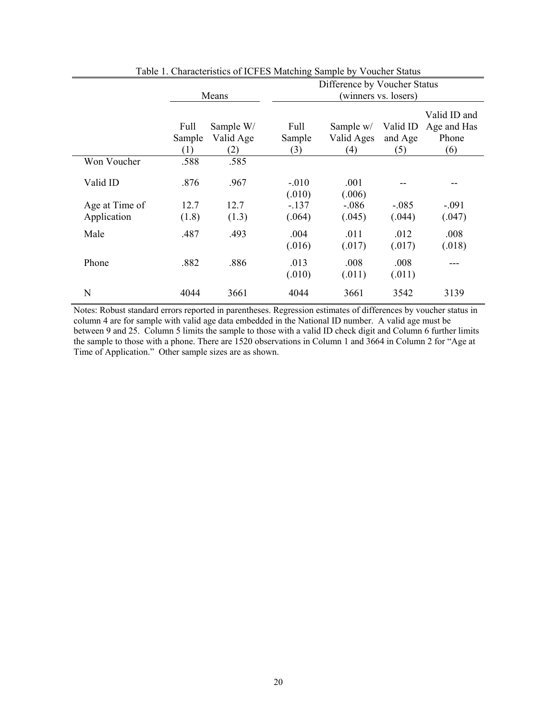|                |                       | Means                         | Difference by Voucher Status<br>(winners vs. losers) |                                |                            |                                             |  |  |
|----------------|-----------------------|-------------------------------|------------------------------------------------------|--------------------------------|----------------------------|---------------------------------------------|--|--|
|                | Full<br>Sample<br>(1) | Sample W/<br>Valid Age<br>(2) | Full<br>Sample<br>(3)                                | Sample w/<br>Valid Ages<br>(4) | Valid ID<br>and Age<br>(5) | Valid ID and<br>Age and Has<br>Phone<br>(6) |  |  |
| Won Voucher    | .588                  | .585                          |                                                      |                                |                            |                                             |  |  |
| Valid ID       | .876                  | .967                          | $-.010$<br>(.010)                                    | .001<br>(.006)                 |                            |                                             |  |  |
| Age at Time of | 12.7                  | 12.7                          | $-.137$                                              | $-.086$                        | $-.085$                    | $-.091$                                     |  |  |
| Application    | (1.8)                 | (1.3)                         | (.064)                                               | (.045)                         | (.044)                     | (.047)                                      |  |  |
| Male           | .487                  | .493                          | .004<br>(.016)                                       | .011<br>(.017)                 | .012<br>(.017)             | .008<br>(.018)                              |  |  |
| Phone          | .882                  | .886                          | .013<br>(.010)                                       | .008<br>(.011)                 | .008<br>(.011)             |                                             |  |  |
| N              | 4044                  | 3661                          | 4044                                                 | 3661                           | 3542                       | 3139                                        |  |  |

Table 1. Characteristics of ICFES Matching Sample by Voucher Status

Notes: Robust standard errors reported in parentheses. Regression estimates of differences by voucher status in column 4 are for sample with valid age data embedded in the National ID number. A valid age must be between 9 and 25. Column 5 limits the sample to those with a valid ID check digit and Column 6 further limits the sample to those with a phone. There are 1520 observations in Column 1 and 3664 in Column 2 for "Age at Time of Application." Other sample sizes are as shown.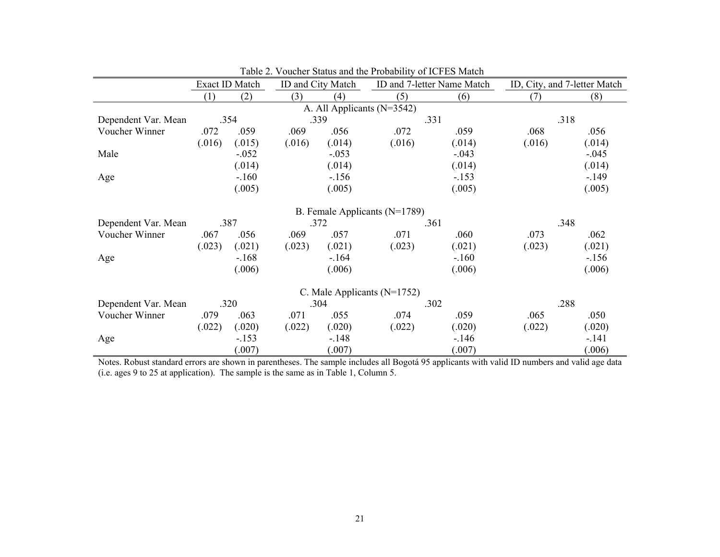|                            | Exact ID Match |         | ID and City Match |         |                                 | ID and 7-letter Name Match |        | ID, City, and 7-letter Match |  |
|----------------------------|----------------|---------|-------------------|---------|---------------------------------|----------------------------|--------|------------------------------|--|
|                            | (1)            | (2)     | (3)               | (4)     | (5)                             | (6)                        | (7)    | (8)                          |  |
| A. All Applicants (N=3542) |                |         |                   |         |                                 |                            |        |                              |  |
| Dependent Var. Mean        |                | .354    | .339              |         |                                 | .331                       |        | .318                         |  |
| Voucher Winner             | .072           | .059    | .069              | .056    | .072                            | .059                       | .068   | .056                         |  |
|                            | (.016)         | (.015)  | (.016)            | (.014)  | (.016)                          | (.014)                     | (.016) | (.014)                       |  |
| Male                       |                | $-.052$ |                   | $-.053$ |                                 | $-.043$                    |        | $-.045$                      |  |
|                            |                | (.014)  |                   | (.014)  |                                 | (.014)                     |        | (.014)                       |  |
| Age                        |                | $-.160$ |                   | $-.156$ |                                 | $-.153$                    |        | $-149$                       |  |
|                            |                | (.005)  |                   | (.005)  |                                 | (.005)                     |        | (.005)                       |  |
|                            |                |         |                   |         | B. Female Applicants (N=1789)   |                            |        |                              |  |
| Dependent Var. Mean        |                | .387    |                   | .372    |                                 | .361                       |        | .348                         |  |
| Voucher Winner             | .067           | .056    | .069              | .057    | .071                            | .060                       | .073   | .062                         |  |
|                            | (.023)         | (.021)  | (.023)            | (.021)  | (.023)                          | (.021)                     | (.023) | (.021)                       |  |
| Age                        |                | $-.168$ |                   | $-164$  |                                 | $-.160$                    |        | $-156$                       |  |
|                            |                | (.006)  |                   | (.006)  |                                 | (.006)                     |        | (.006)                       |  |
|                            |                |         |                   |         | C. Male Applicants ( $N=1752$ ) |                            |        |                              |  |
| Dependent Var. Mean        |                | .320    |                   | .304    |                                 | .302                       |        | .288                         |  |
| Voucher Winner             | .079           | .063    | .071              | .055    | .074                            | .059                       | .065   | .050                         |  |
|                            | (.022)         | (.020)  | (.022)            | (.020)  | (.022)                          | (.020)                     | (.022) | (.020)                       |  |
| Age                        |                | $-.153$ |                   | $-.148$ |                                 | $-146$                     |        | $-.141$                      |  |
|                            |                | (.007)  |                   | (.007)  |                                 | (.007)                     |        | 006                          |  |

|  |  | Table 2. Voucher Status and the Probability of ICFES Match |
|--|--|------------------------------------------------------------|
|  |  |                                                            |

Notes. Robust standard errors are shown in parentheses. The sample includes all Bogotá 95 applicants with valid ID numbers and valid age data (i.e. ages 9 to 25 at application). The sample is the same as in Table 1, Column 5.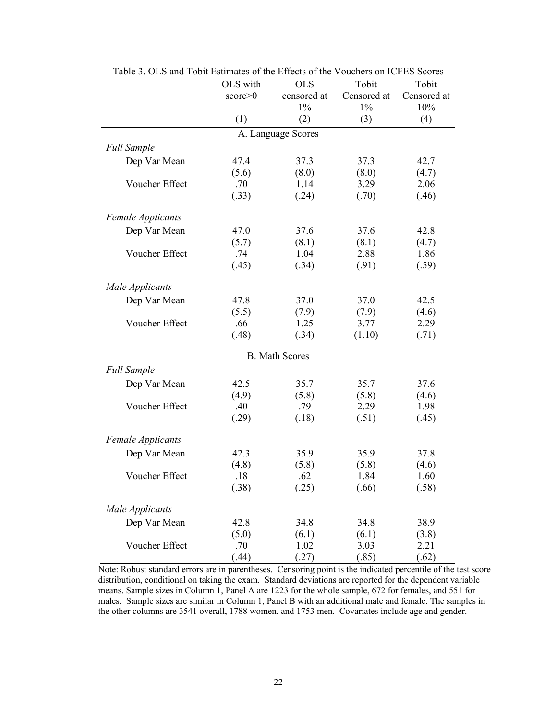|                          | OLS with           | <b>OLS</b>            | Tobit       | Tobit       |  |  |  |  |  |
|--------------------------|--------------------|-----------------------|-------------|-------------|--|--|--|--|--|
|                          | score > 0          | censored at           | Censored at | Censored at |  |  |  |  |  |
|                          |                    | $1\%$                 | $1\%$       | 10%         |  |  |  |  |  |
|                          | (1)                | (2)                   | (3)         | (4)         |  |  |  |  |  |
|                          | A. Language Scores |                       |             |             |  |  |  |  |  |
| <b>Full Sample</b>       |                    |                       |             |             |  |  |  |  |  |
| Dep Var Mean             | 47.4               | 37.3                  | 37.3        | 42.7        |  |  |  |  |  |
|                          | (5.6)              | (8.0)                 | (8.0)       | (4.7)       |  |  |  |  |  |
| Voucher Effect           | .70                | 1.14                  | 3.29        | 2.06        |  |  |  |  |  |
|                          | (.33)              | (.24)                 | (.70)       | (.46)       |  |  |  |  |  |
| <b>Female Applicants</b> |                    |                       |             |             |  |  |  |  |  |
| Dep Var Mean             | 47.0               | 37.6                  | 37.6        | 42.8        |  |  |  |  |  |
|                          | (5.7)              | (8.1)                 | (8.1)       | (4.7)       |  |  |  |  |  |
| Voucher Effect           | .74                | 1.04                  | 2.88        | 1.86        |  |  |  |  |  |
|                          | (.45)              | (.34)                 | (.91)       | (.59)       |  |  |  |  |  |
| Male Applicants          |                    |                       |             |             |  |  |  |  |  |
| Dep Var Mean             | 47.8               | 37.0                  | 37.0        | 42.5        |  |  |  |  |  |
|                          | (5.5)              | (7.9)                 | (7.9)       | (4.6)       |  |  |  |  |  |
| Voucher Effect           | .66                | 1.25                  | 3.77        | 2.29        |  |  |  |  |  |
|                          | (.48)              | (.34)                 | (1.10)      | (.71)       |  |  |  |  |  |
|                          |                    | <b>B.</b> Math Scores |             |             |  |  |  |  |  |
| <b>Full Sample</b>       |                    |                       |             |             |  |  |  |  |  |
| Dep Var Mean             | 42.5               | 35.7                  | 35.7        | 37.6        |  |  |  |  |  |
|                          | (4.9)              | (5.8)                 | (5.8)       | (4.6)       |  |  |  |  |  |
| Voucher Effect           | .40                | .79                   | 2.29        | 1.98        |  |  |  |  |  |
|                          | (.29)              | (.18)                 | (.51)       | (.45)       |  |  |  |  |  |
| <b>Female Applicants</b> |                    |                       |             |             |  |  |  |  |  |
| Dep Var Mean             | 42.3               | 35.9                  | 35.9        | 37.8        |  |  |  |  |  |
|                          | (4.8)              | (5.8)                 | (5.8)       | (4.6)       |  |  |  |  |  |
| Voucher Effect           | .18                | .62                   | 1.84        | 1.60        |  |  |  |  |  |
|                          | (.38)              | (.25)                 | (.66)       | (.58)       |  |  |  |  |  |
| Male Applicants          |                    |                       |             |             |  |  |  |  |  |
| Dep Var Mean             | 42.8               | 34.8                  | 34.8        | 38.9        |  |  |  |  |  |
|                          | (5.0)              | (6.1)                 | (6.1)       | (3.8)       |  |  |  |  |  |
| Voucher Effect           | .70                | 1.02                  | 3.03        | 2.21        |  |  |  |  |  |
|                          | (.44)              | (.27)                 | (.85)       | (.62)       |  |  |  |  |  |

Table 3. OLS and Tobit Estimates of the Effects of the Vouchers on ICFES Scores

Note: Robust standard errors are in parentheses. Censoring point is the indicated percentile of the test score distribution, conditional on taking the exam. Standard deviations are reported for the dependent variable means. Sample sizes in Column 1, Panel A are 1223 for the whole sample, 672 for females, and 551 for males. Sample sizes are similar in Column 1, Panel B with an additional male and female. The samples in the other columns are 3541 overall, 1788 women, and 1753 men. Covariates include age and gender.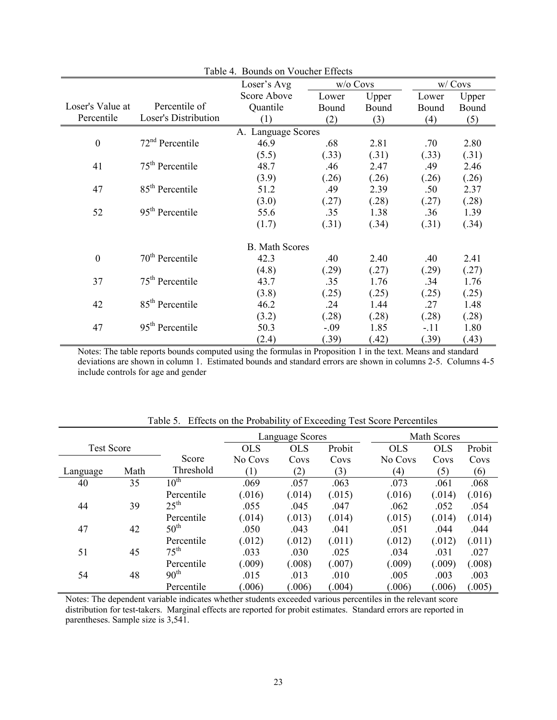| Table 4. Bounds on Voucher Effects |                             |                       |            |       |        |         |  |  |  |
|------------------------------------|-----------------------------|-----------------------|------------|-------|--------|---------|--|--|--|
|                                    |                             | Loser's Avg           | $w/o$ Covs |       |        | w/ Covs |  |  |  |
|                                    |                             | Score Above           | Lower      | Upper | Lower  | Upper   |  |  |  |
| Loser's Value at                   | Percentile of               | Quantile              | Bound      | Bound | Bound  | Bound   |  |  |  |
| Percentile                         | <b>Loser's Distribution</b> | (1)                   | (2)        | (3)   | (4)    | (5)     |  |  |  |
| A. Language Scores                 |                             |                       |            |       |        |         |  |  |  |
| $\boldsymbol{0}$                   | $72nd$ Percentile           | 46.9                  | .68        | 2.81  | .70    | 2.80    |  |  |  |
|                                    |                             | (5.5)                 | (.33)      | (.31) | (.33)  | (.31)   |  |  |  |
| 41                                 | $75th$ Percentile           | 48.7                  | .46        | 2.47  | .49    | 2.46    |  |  |  |
|                                    |                             | (3.9)                 | (.26)      | (.26) | (.26)  | (.26)   |  |  |  |
| 47                                 | 85 <sup>th</sup> Percentile | 51.2                  | .49        | 2.39  | .50    | 2.37    |  |  |  |
|                                    |                             | (3.0)                 | (.27)      | (.28) | (.27)  | (.28)   |  |  |  |
| 52                                 | $95th$ Percentile           | 55.6                  | .35        | 1.38  | .36    | 1.39    |  |  |  |
|                                    |                             | (1.7)                 | (.31)      | (.34) | (.31)  | (.34)   |  |  |  |
|                                    |                             | <b>B.</b> Math Scores |            |       |        |         |  |  |  |
| $\boldsymbol{0}$                   | $70th$ Percentile           | 42.3                  | .40        | 2.40  | .40    | 2.41    |  |  |  |
|                                    |                             | (4.8)                 | (.29)      | (.27) | (.29)  | (.27)   |  |  |  |
| 37                                 | $75th$ Percentile           | 43.7                  | .35        | 1.76  | .34    | 1.76    |  |  |  |
|                                    |                             | (3.8)                 | (.25)      | (.25) | (.25)  | (.25)   |  |  |  |
| 42                                 | 85 <sup>th</sup> Percentile | 46.2                  | .24        | 1.44  | .27    | 1.48    |  |  |  |
|                                    |                             | (3.2)                 | (.28)      | (.28) | (.28)  | (.28)   |  |  |  |
| 47                                 | $95th$ Percentile           | 50.3                  | $-.09$     | 1.85  | $-.11$ | 1.80    |  |  |  |
|                                    |                             | (2.4)                 | (.39)      | (.42) | (.39)  | (.43)   |  |  |  |

Notes: The table reports bounds computed using the formulas in Proposition 1 in the text. Means and standard deviations are shown in column 1. Estimated bounds and standard errors are shown in columns 2-5. Columns 4-5 include controls for age and gender

|                   |      |                  | Language Scores |            |        |            | Math Scores |        |  |  |
|-------------------|------|------------------|-----------------|------------|--------|------------|-------------|--------|--|--|
| <b>Test Score</b> |      |                  | <b>OLS</b>      | <b>OLS</b> | Probit | <b>OLS</b> | <b>OLS</b>  | Probit |  |  |
|                   |      | Score            | No Covs         | Covs       | Covs   | No Covs    | Covs        | Covs   |  |  |
| Language          | Math | Threshold        | (1)             | (2)        | (3)    | (4)        | (5)         | (6)    |  |  |
| 40                | 35   | $10^{\text{th}}$ | .069            | .057       | .063   | .073       | .061        | .068   |  |  |
|                   |      | Percentile       | (.016)          | (.014)     | (.015) | (.016)     | (.014)      | (.016) |  |  |
| 44                | 39   | $25^{\text{th}}$ | .055            | .045       | .047   | .062       | .052        | .054   |  |  |
|                   |      | Percentile       | (.014)          | (.013)     | (.014) | (.015)     | (.014)      | (.014) |  |  |
| 47                | 42   | $50^{\text{th}}$ | .050            | .043       | .041   | .051       | .044        | .044   |  |  |
|                   |      | Percentile       | (.012)          | (.012)     | (.011) | (.012)     | (012)       | (.011) |  |  |
| 51                | 45   | $75^{\text{th}}$ | .033            | .030       | .025   | .034       | .031        | .027   |  |  |
|                   |      | Percentile       | (.009)          | (.008)     | (.007) | (.009)     | (.009)      | (.008) |  |  |
| 54                | 48   | 90 <sup>th</sup> | .015            | .013       | .010   | .005       | .003        | .003   |  |  |
|                   |      | Percentile       | (.006)          | (.006)     | (.004) | (.006)     | (0.06)      | (.005) |  |  |

Table 5. Effects on the Probability of Exceeding Test Score Percentiles

Notes: The dependent variable indicates whether students exceeded various percentiles in the relevant score distribution for test-takers. Marginal effects are reported for probit estimates. Standard errors are reported in parentheses. Sample size is 3,541.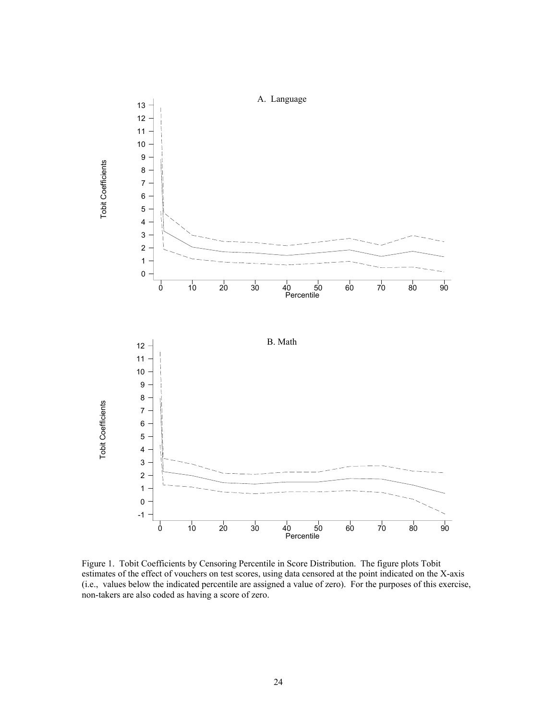

Figure 1. Tobit Coefficients by Censoring Percentile in Score Distribution. The figure plots Tobit estimates of the effect of vouchers on test scores, using data censored at the point indicated on the X-axis (i.e., values below the indicated percentile are assigned a value of zero). For the purposes of this exercise, non-takers are also coded as having a score of zero.